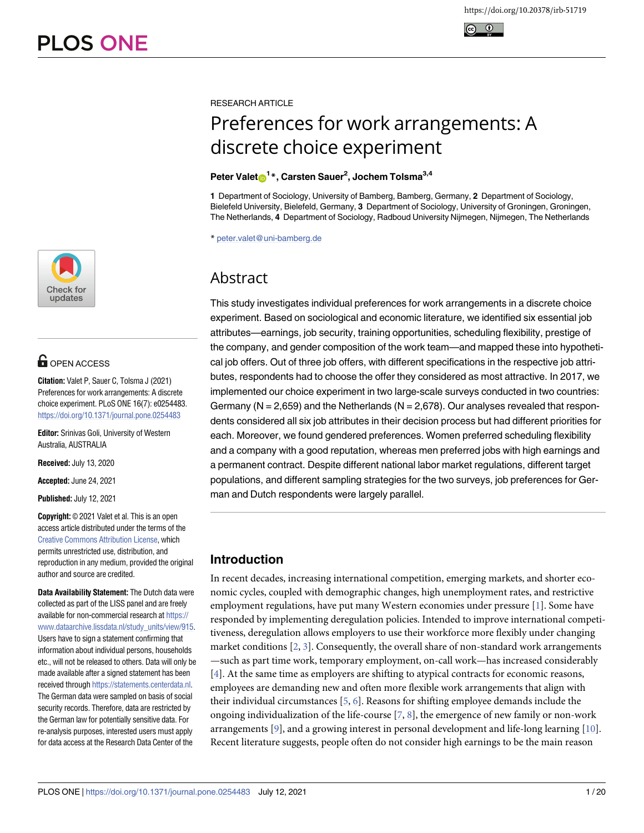



# **OPEN ACCESS**

**Citation:** Valet P, Sauer C, Tolsma J (2021) Preferences for work arrangements: A discrete choice experiment. PLoS ONE 16(7): e0254483. <https://doi.org/10.1371/journal.pone.0254483>

**Editor:** Srinivas Goli, University of Western Australia, AUSTRALIA

**Received:** July 13, 2020

**Accepted:** June 24, 2021

**Published:** July 12, 2021

**Copyright:** © 2021 Valet et al. This is an open access article distributed under the terms of the [Creative Commons Attribution License,](http://creativecommons.org/licenses/by/4.0/) which permits unrestricted use, distribution, and reproduction in any medium, provided the original author and source are credited.

**Data Availability Statement:** The Dutch data were collected as part of the LISS panel and are freely available for non-commercial research at [https://](https://www.dataarchive.lissdata.nl/study_units/view/915) [www.dataarchive.lissdata.nl/study\\_units/view/915.](https://www.dataarchive.lissdata.nl/study_units/view/915) Users have to sign a statement confirming that information about individual persons, households etc., will not be released to others. Data will only be made available after a signed statement has been received through <https://statements.centerdata.nl>. The German data were sampled on basis of social security records. Therefore, data are restricted by the German law for potentially sensitive data. For re-analysis purposes, interested users must apply for data access at the Research Data Center of the

<span id="page-0-0"></span>RESEARCH ARTICLE

# Preferences for work arrangements: A discrete choice experiment

# $P$ eter Valet $\mathbf{D}^{1*}$ , Carsten Sauer<sup>2</sup>, Jochem Tolsma<sup>3,4</sup>

**1** Department of Sociology, University of Bamberg, Bamberg, Germany, **2** Department of Sociology, Bielefeld University, Bielefeld, Germany, **3** Department of Sociology, University of Groningen, Groningen, The Netherlands, **4** Department of Sociology, Radboud University Nijmegen, Nijmegen, The Netherlands

\* peter.valet@uni-bamberg.de

# Abstract

This study investigates individual preferences for work arrangements in a discrete choice experiment. Based on sociological and economic literature, we identified six essential job attributes—earnings, job security, training opportunities, scheduling flexibility, prestige of the company, and gender composition of the work team—and mapped these into hypothetical job offers. Out of three job offers, with different specifications in the respective job attributes, respondents had to choose the offer they considered as most attractive. In 2017, we implemented our choice experiment in two large-scale surveys conducted in two countries: Germany ( $N = 2,659$ ) and the Netherlands ( $N = 2,678$ ). Our analyses revealed that respondents considered all six job attributes in their decision process but had different priorities for each. Moreover, we found gendered preferences. Women preferred scheduling flexibility and a company with a good reputation, whereas men preferred jobs with high earnings and a permanent contract. Despite different national labor market regulations, different target populations, and different sampling strategies for the two surveys, job preferences for German and Dutch respondents were largely parallel.

# **Introduction**

In recent decades, increasing international competition, emerging markets, and shorter economic cycles, coupled with demographic changes, high unemployment rates, and restrictive employment regulations, have put many Western economies under pressure [\[1\]](#page-16-0). Some have responded by implementing deregulation policies. Intended to improve international competitiveness, deregulation allows employers to use their workforce more flexibly under changing market conditions [[2,](#page-16-0) [3\]](#page-16-0). Consequently, the overall share of non-standard work arrangements —such as part time work, temporary employment, on-call work—has increased considerably [\[4](#page-16-0)]. At the same time as employers are shifting to atypical contracts for economic reasons, employees are demanding new and often more flexible work arrangements that align with their individual circumstances [\[5](#page-16-0), [6](#page-16-0)]. Reasons for shifting employee demands include the ongoing individualization of the life-course [[7,](#page-16-0) [8\]](#page-16-0), the emergence of new family or non-work arrangements [[9](#page-16-0)], and a growing interest in personal development and life-long learning [[10](#page-17-0)]. Recent literature suggests, people often do not consider high earnings to be the main reason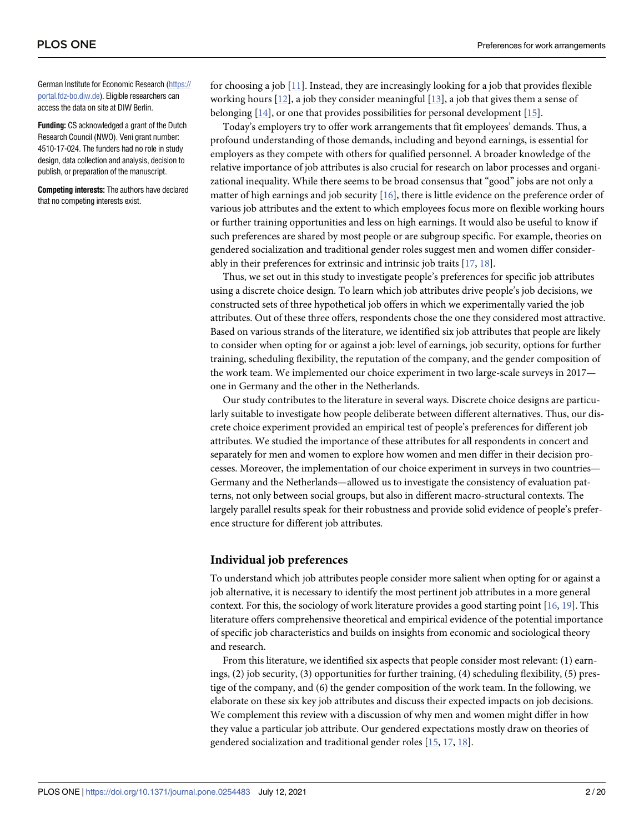<span id="page-1-0"></span>German Institute for Economic Research ([https://](https://portal.fdz-bo.diw.de) [portal.fdz-bo.diw.de\)](https://portal.fdz-bo.diw.de). Eligible researchers can access the data on site at DIW Berlin.

**Funding:** CS acknowledged a grant of the Dutch Research Council (NWO). Veni grant number: 4510-17-024. The funders had no role in study design, data collection and analysis, decision to publish, or preparation of the manuscript.

**Competing interests:** The authors have declared that no competing interests exist.

for choosing a job [\[11](#page-17-0)]. Instead, they are increasingly looking for a job that provides flexible working hours [\[12\]](#page-17-0), a job they consider meaningful [\[13](#page-17-0)], a job that gives them a sense of belonging [\[14\]](#page-17-0), or one that provides possibilities for personal development [\[15\]](#page-17-0).

Today's employers try to offer work arrangements that fit employees' demands. Thus, a profound understanding of those demands, including and beyond earnings, is essential for employers as they compete with others for qualified personnel. A broader knowledge of the relative importance of job attributes is also crucial for research on labor processes and organizational inequality. While there seems to be broad consensus that "good" jobs are not only a matter of high earnings and job security [\[16\]](#page-17-0), there is little evidence on the preference order of various job attributes and the extent to which employees focus more on flexible working hours or further training opportunities and less on high earnings. It would also be useful to know if such preferences are shared by most people or are subgroup specific. For example, theories on gendered socialization and traditional gender roles suggest men and women differ considerably in their preferences for extrinsic and intrinsic job traits [\[17,](#page-17-0) [18\]](#page-17-0).

Thus, we set out in this study to investigate people's preferences for specific job attributes using a discrete choice design. To learn which job attributes drive people's job decisions, we constructed sets of three hypothetical job offers in which we experimentally varied the job attributes. Out of these three offers, respondents chose the one they considered most attractive. Based on various strands of the literature, we identified six job attributes that people are likely to consider when opting for or against a job: level of earnings, job security, options for further training, scheduling flexibility, the reputation of the company, and the gender composition of the work team. We implemented our choice experiment in two large-scale surveys in 2017 one in Germany and the other in the Netherlands.

Our study contributes to the literature in several ways. Discrete choice designs are particularly suitable to investigate how people deliberate between different alternatives. Thus, our discrete choice experiment provided an empirical test of people's preferences for different job attributes. We studied the importance of these attributes for all respondents in concert and separately for men and women to explore how women and men differ in their decision processes. Moreover, the implementation of our choice experiment in surveys in two countries— Germany and the Netherlands—allowed us to investigate the consistency of evaluation patterns, not only between social groups, but also in different macro-structural contexts. The largely parallel results speak for their robustness and provide solid evidence of people's preference structure for different job attributes.

# **Individual job preferences**

To understand which job attributes people consider more salient when opting for or against a job alternative, it is necessary to identify the most pertinent job attributes in a more general context. For this, the sociology of work literature provides a good starting point [\[16,](#page-17-0) [19\]](#page-17-0). This literature offers comprehensive theoretical and empirical evidence of the potential importance of specific job characteristics and builds on insights from economic and sociological theory and research.

From this literature, we identified six aspects that people consider most relevant: (1) earnings, (2) job security, (3) opportunities for further training, (4) scheduling flexibility, (5) prestige of the company, and (6) the gender composition of the work team. In the following, we elaborate on these six key job attributes and discuss their expected impacts on job decisions. We complement this review with a discussion of why men and women might differ in how they value a particular job attribute. Our gendered expectations mostly draw on theories of gendered socialization and traditional gender roles [\[15,](#page-17-0) [17,](#page-17-0) [18\]](#page-17-0).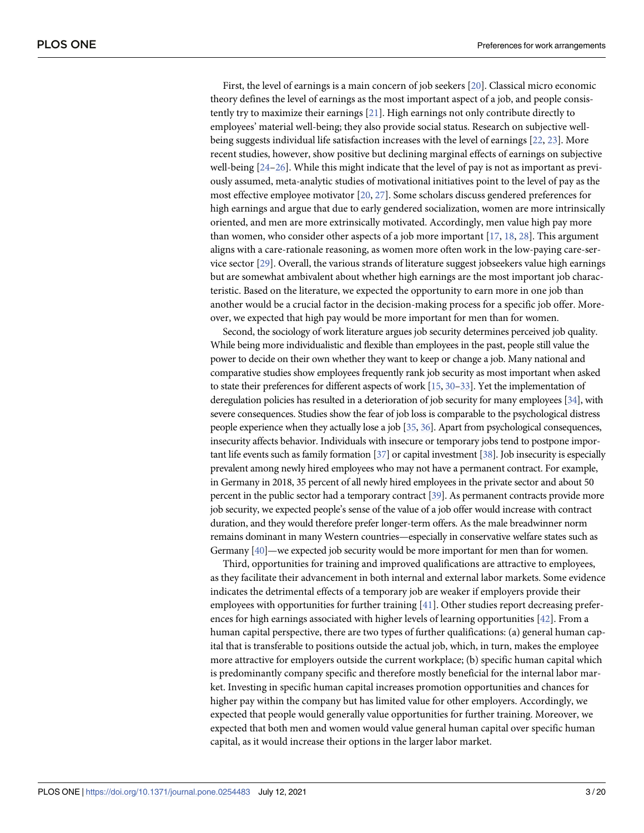<span id="page-2-0"></span>First, the level of earnings is a main concern of job seekers [[20](#page-17-0)]. Classical micro economic theory defines the level of earnings as the most important aspect of a job, and people consistently try to maximize their earnings [[21](#page-17-0)]. High earnings not only contribute directly to employees' material well-being; they also provide social status. Research on subjective wellbeing suggests individual life satisfaction increases with the level of earnings [[22](#page-17-0), [23](#page-17-0)]. More recent studies, however, show positive but declining marginal effects of earnings on subjective well-being [\[24–26](#page-17-0)]. While this might indicate that the level of pay is not as important as previously assumed, meta-analytic studies of motivational initiatives point to the level of pay as the most effective employee motivator [[20](#page-17-0), [27](#page-17-0)]. Some scholars discuss gendered preferences for high earnings and argue that due to early gendered socialization, women are more intrinsically oriented, and men are more extrinsically motivated. Accordingly, men value high pay more than women, who consider other aspects of a job more important [[17](#page-17-0), [18](#page-17-0), [28\]](#page-17-0). This argument aligns with a care-rationale reasoning, as women more often work in the low-paying care-service sector [\[29\]](#page-17-0). Overall, the various strands of literature suggest jobseekers value high earnings but are somewhat ambivalent about whether high earnings are the most important job characteristic. Based on the literature, we expected the opportunity to earn more in one job than another would be a crucial factor in the decision-making process for a specific job offer. Moreover, we expected that high pay would be more important for men than for women.

Second, the sociology of work literature argues job security determines perceived job quality. While being more individualistic and flexible than employees in the past, people still value the power to decide on their own whether they want to keep or change a job. Many national and comparative studies show employees frequently rank job security as most important when asked to state their preferences for different aspects of work [\[15](#page-17-0), [30–33\]](#page-17-0). Yet the implementation of deregulation policies has resulted in a deterioration of job security for many employees [[34\]](#page-17-0), with severe consequences. Studies show the fear of job loss is comparable to the psychological distress people experience when they actually lose a job [\[35,](#page-18-0) [36](#page-18-0)]. Apart from psychological consequences, insecurity affects behavior. Individuals with insecure or temporary jobs tend to postpone important life events such as family formation [\[37](#page-18-0)] or capital investment [\[38](#page-18-0)]. Job insecurity is especially prevalent among newly hired employees who may not have a permanent contract. For example, in Germany in 2018, 35 percent of all newly hired employees in the private sector and about 50 percent in the public sector had a temporary contract [\[39\]](#page-18-0). As permanent contracts provide more job security, we expected people's sense of the value of a job offer would increase with contract duration, and they would therefore prefer longer-term offers. As the male breadwinner norm remains dominant in many Western countries—especially in conservative welfare states such as Germany [\[40](#page-18-0)]—we expected job security would be more important for men than for women.

Third, opportunities for training and improved qualifications are attractive to employees, as they facilitate their advancement in both internal and external labor markets. Some evidence indicates the detrimental effects of a temporary job are weaker if employers provide their employees with opportunities for further training [\[41\]](#page-18-0). Other studies report decreasing preferences for high earnings associated with higher levels of learning opportunities [[42](#page-18-0)]. From a human capital perspective, there are two types of further qualifications: (a) general human capital that is transferable to positions outside the actual job, which, in turn, makes the employee more attractive for employers outside the current workplace; (b) specific human capital which is predominantly company specific and therefore mostly beneficial for the internal labor market. Investing in specific human capital increases promotion opportunities and chances for higher pay within the company but has limited value for other employers. Accordingly, we expected that people would generally value opportunities for further training. Moreover, we expected that both men and women would value general human capital over specific human capital, as it would increase their options in the larger labor market.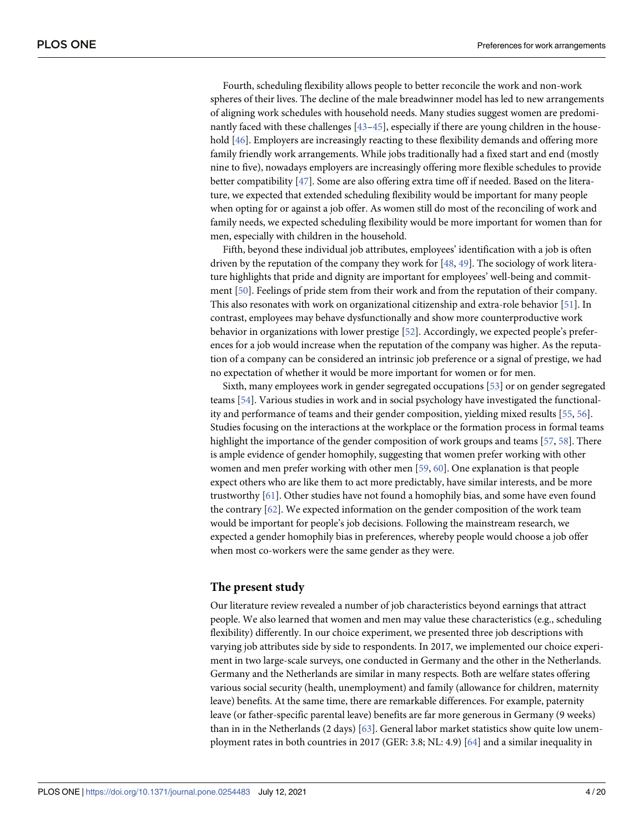<span id="page-3-0"></span>Fourth, scheduling flexibility allows people to better reconcile the work and non-work spheres of their lives. The decline of the male breadwinner model has led to new arrangements of aligning work schedules with household needs. Many studies suggest women are predominantly faced with these challenges [43-45], especially if there are young children in the house-hold [[46](#page-18-0)]. Employers are increasingly reacting to these flexibility demands and offering more family friendly work arrangements. While jobs traditionally had a fixed start and end (mostly nine to five), nowadays employers are increasingly offering more flexible schedules to provide better compatibility [\[47\]](#page-18-0). Some are also offering extra time off if needed. Based on the literature, we expected that extended scheduling flexibility would be important for many people when opting for or against a job offer. As women still do most of the reconciling of work and family needs, we expected scheduling flexibility would be more important for women than for men, especially with children in the household.

Fifth, beyond these individual job attributes, employees' identification with a job is often driven by the reputation of the company they work for [\[48,](#page-18-0) [49\]](#page-18-0). The sociology of work literature highlights that pride and dignity are important for employees' well-being and commitment [\[50\]](#page-18-0). Feelings of pride stem from their work and from the reputation of their company. This also resonates with work on organizational citizenship and extra-role behavior [\[51\]](#page-18-0). In contrast, employees may behave dysfunctionally and show more counterproductive work behavior in organizations with lower prestige [\[52\]](#page-18-0). Accordingly, we expected people's preferences for a job would increase when the reputation of the company was higher. As the reputation of a company can be considered an intrinsic job preference or a signal of prestige, we had no expectation of whether it would be more important for women or for men.

Sixth, many employees work in gender segregated occupations [[53](#page-18-0)] or on gender segregated teams [\[54](#page-18-0)]. Various studies in work and in social psychology have investigated the functionality and performance of teams and their gender composition, yielding mixed results [[55](#page-18-0), [56](#page-18-0)]. Studies focusing on the interactions at the workplace or the formation process in formal teams highlight the importance of the gender composition of work groups and teams [\[57,](#page-18-0) [58\]](#page-18-0). There is ample evidence of gender homophily, suggesting that women prefer working with other women and men prefer working with other men [\[59,](#page-19-0) [60\]](#page-19-0). One explanation is that people expect others who are like them to act more predictably, have similar interests, and be more trustworthy [[61](#page-19-0)]. Other studies have not found a homophily bias, and some have even found the contrary [\[62\]](#page-19-0). We expected information on the gender composition of the work team would be important for people's job decisions. Following the mainstream research, we expected a gender homophily bias in preferences, whereby people would choose a job offer when most co-workers were the same gender as they were.

# **The present study**

Our literature review revealed a number of job characteristics beyond earnings that attract people. We also learned that women and men may value these characteristics (e.g., scheduling flexibility) differently. In our choice experiment, we presented three job descriptions with varying job attributes side by side to respondents. In 2017, we implemented our choice experiment in two large-scale surveys, one conducted in Germany and the other in the Netherlands. Germany and the Netherlands are similar in many respects. Both are welfare states offering various social security (health, unemployment) and family (allowance for children, maternity leave) benefits. At the same time, there are remarkable differences. For example, paternity leave (or father-specific parental leave) benefits are far more generous in Germany (9 weeks) than in in the Netherlands (2 days) [\[63\]](#page-19-0). General labor market statistics show quite low unemployment rates in both countries in 2017 (GER: 3.8; NL: 4.9) [[64](#page-19-0)] and a similar inequality in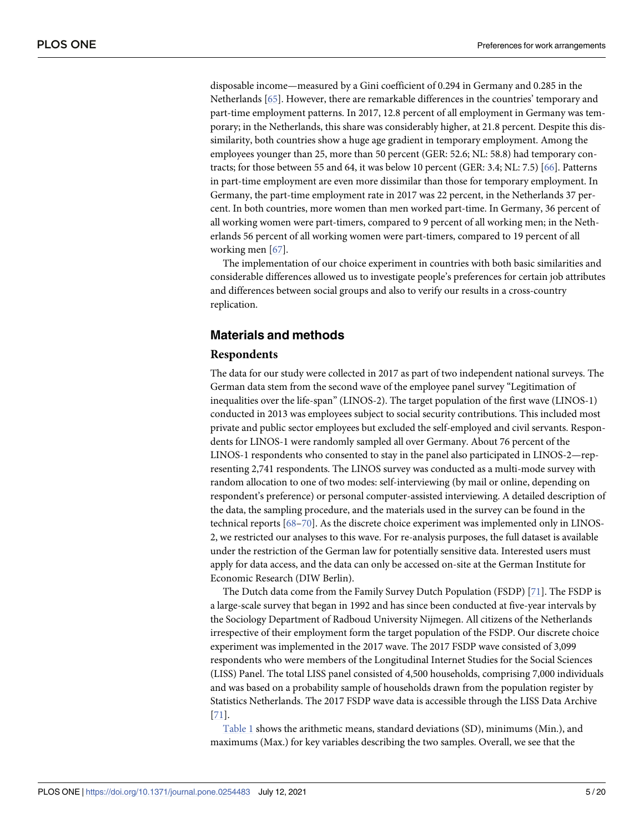<span id="page-4-0"></span>disposable income—measured by a Gini coefficient of 0.294 in Germany and 0.285 in the Netherlands [[65](#page-19-0)]. However, there are remarkable differences in the countries' temporary and part-time employment patterns. In 2017, 12.8 percent of all employment in Germany was temporary; in the Netherlands, this share was considerably higher, at 21.8 percent. Despite this dissimilarity, both countries show a huge age gradient in temporary employment. Among the employees younger than 25, more than 50 percent (GER: 52.6; NL: 58.8) had temporary contracts; for those between 55 and 64, it was below 10 percent (GER: 3.4; NL: 7.5) [[66](#page-19-0)]. Patterns in part-time employment are even more dissimilar than those for temporary employment. In Germany, the part-time employment rate in 2017 was 22 percent, in the Netherlands 37 percent. In both countries, more women than men worked part-time. In Germany, 36 percent of all working women were part-timers, compared to 9 percent of all working men; in the Netherlands 56 percent of all working women were part-timers, compared to 19 percent of all working men [\[67\]](#page-19-0).

The implementation of our choice experiment in countries with both basic similarities and considerable differences allowed us to investigate people's preferences for certain job attributes and differences between social groups and also to verify our results in a cross-country replication.

# **Materials and methods**

#### **Respondents**

The data for our study were collected in 2017 as part of two independent national surveys. The German data stem from the second wave of the employee panel survey "Legitimation of inequalities over the life-span" (LINOS-2). The target population of the first wave (LINOS-1) conducted in 2013 was employees subject to social security contributions. This included most private and public sector employees but excluded the self-employed and civil servants. Respondents for LINOS-1 were randomly sampled all over Germany. About 76 percent of the LINOS-1 respondents who consented to stay in the panel also participated in LINOS-2—representing 2,741 respondents. The LINOS survey was conducted as a multi-mode survey with random allocation to one of two modes: self-interviewing (by mail or online, depending on respondent's preference) or personal computer-assisted interviewing. A detailed description of the data, the sampling procedure, and the materials used in the survey can be found in the technical reports [\[68–70](#page-19-0)]. As the discrete choice experiment was implemented only in LINOS-2, we restricted our analyses to this wave. For re-analysis purposes, the full dataset is available under the restriction of the German law for potentially sensitive data. Interested users must apply for data access, and the data can only be accessed on-site at the German Institute for Economic Research (DIW Berlin).

The Dutch data come from the Family Survey Dutch Population (FSDP) [\[71\]](#page-19-0). The FSDP is a large-scale survey that began in 1992 and has since been conducted at five-year intervals by the Sociology Department of Radboud University Nijmegen. All citizens of the Netherlands irrespective of their employment form the target population of the FSDP. Our discrete choice experiment was implemented in the 2017 wave. The 2017 FSDP wave consisted of 3,099 respondents who were members of the Longitudinal Internet Studies for the Social Sciences (LISS) Panel. The total LISS panel consisted of 4,500 households, comprising 7,000 individuals and was based on a probability sample of households drawn from the population register by Statistics Netherlands. The 2017 FSDP wave data is accessible through the LISS Data Archive [\[71\]](#page-19-0).

[Table 1](#page-5-0) shows the arithmetic means, standard deviations (SD), minimums (Min.), and maximums (Max.) for key variables describing the two samples. Overall, we see that the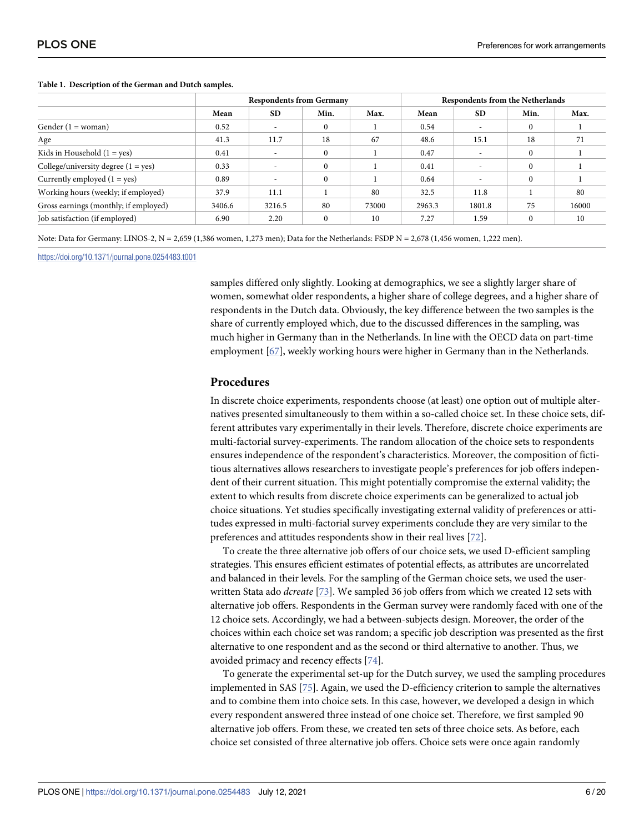|                                       | <b>Respondents from Germany</b> |                          |          | <b>Respondents from the Netherlands</b> |        |                          |          |       |
|---------------------------------------|---------------------------------|--------------------------|----------|-----------------------------------------|--------|--------------------------|----------|-------|
|                                       | Mean                            | <b>SD</b>                | Min.     | Max.                                    | Mean   | SD.                      | Min.     | Max.  |
| Gender $(1 = woman)$                  | 0.52                            |                          | $\Omega$ |                                         | 0.54   | $\overline{\phantom{a}}$ |          |       |
| Age                                   | 41.3                            | 11.7                     | 18       | 67                                      | 48.6   | 15.1                     | 18       | 71    |
| Kids in Household $(1 = yes)$         | 0.41                            | $\overline{\phantom{a}}$ | $\Omega$ |                                         | 0.47   | $\overline{\phantom{a}}$ |          |       |
| College/university degree $(1 = yes)$ | 0.33                            | $\overline{\phantom{a}}$ | $\theta$ |                                         | 0.41   | $\overline{\phantom{a}}$ | $\Omega$ |       |
| Currently employed $(1 = yes)$        | 0.89                            | $\overline{\phantom{0}}$ | $\Omega$ |                                         | 0.64   | $\overline{\phantom{a}}$ |          |       |
| Working hours (weekly; if employed)   | 37.9                            | 11.1                     |          | 80                                      | 32.5   | 11.8                     |          | 80    |
| Gross earnings (monthly; if employed) | 3406.6                          | 3216.5                   | 80       | 73000                                   | 2963.3 | 1801.8                   | 75       | 16000 |
| Job satisfaction (if employed)        | 6.90                            | 2.20                     | $\Omega$ | 10                                      | 7.27   | 1.59                     |          | 10    |

#### <span id="page-5-0"></span>**[Table 1.](#page-4-0) Description of the German and Dutch samples.**

Note: Data for Germany: LINOS-2, N = 2,659 (1,386 women, 1,273 men); Data for the Netherlands: FSDP N = 2,678 (1,456 women, 1,222 men).

<https://doi.org/10.1371/journal.pone.0254483.t001>

samples differed only slightly. Looking at demographics, we see a slightly larger share of women, somewhat older respondents, a higher share of college degrees, and a higher share of respondents in the Dutch data. Obviously, the key difference between the two samples is the share of currently employed which, due to the discussed differences in the sampling, was much higher in Germany than in the Netherlands. In line with the OECD data on part-time employment [\[67\]](#page-19-0), weekly working hours were higher in Germany than in the Netherlands.

#### **Procedures**

In discrete choice experiments, respondents choose (at least) one option out of multiple alternatives presented simultaneously to them within a so-called choice set. In these choice sets, different attributes vary experimentally in their levels. Therefore, discrete choice experiments are multi-factorial survey-experiments. The random allocation of the choice sets to respondents ensures independence of the respondent's characteristics. Moreover, the composition of fictitious alternatives allows researchers to investigate people's preferences for job offers independent of their current situation. This might potentially compromise the external validity; the extent to which results from discrete choice experiments can be generalized to actual job choice situations. Yet studies specifically investigating external validity of preferences or attitudes expressed in multi-factorial survey experiments conclude they are very similar to the preferences and attitudes respondents show in their real lives [\[72\]](#page-19-0).

To create the three alternative job offers of our choice sets, we used D-efficient sampling strategies. This ensures efficient estimates of potential effects, as attributes are uncorrelated and balanced in their levels. For the sampling of the German choice sets, we used the userwritten Stata ado *dcreate* [\[73\]](#page-19-0). We sampled 36 job offers from which we created 12 sets with alternative job offers. Respondents in the German survey were randomly faced with one of the 12 choice sets. Accordingly, we had a between-subjects design. Moreover, the order of the choices within each choice set was random; a specific job description was presented as the first alternative to one respondent and as the second or third alternative to another. Thus, we avoided primacy and recency effects [[74](#page-19-0)].

To generate the experimental set-up for the Dutch survey, we used the sampling procedures implemented in SAS [[75](#page-19-0)]. Again, we used the D-efficiency criterion to sample the alternatives and to combine them into choice sets. In this case, however, we developed a design in which every respondent answered three instead of one choice set. Therefore, we first sampled 90 alternative job offers. From these, we created ten sets of three choice sets. As before, each choice set consisted of three alternative job offers. Choice sets were once again randomly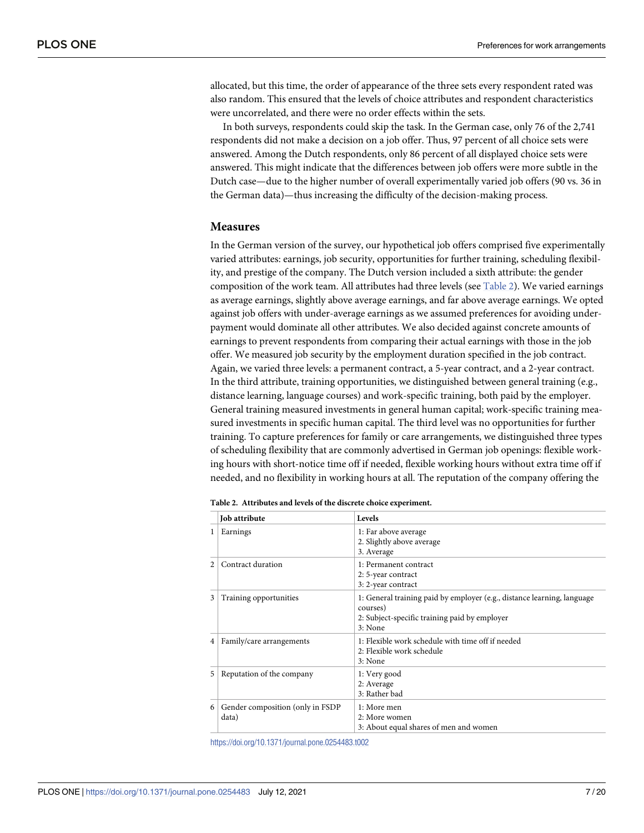allocated, but this time, the order of appearance of the three sets every respondent rated was also random. This ensured that the levels of choice attributes and respondent characteristics were uncorrelated, and there were no order effects within the sets.

In both surveys, respondents could skip the task. In the German case, only 76 of the 2,741 respondents did not make a decision on a job offer. Thus, 97 percent of all choice sets were answered. Among the Dutch respondents, only 86 percent of all displayed choice sets were answered. This might indicate that the differences between job offers were more subtle in the Dutch case—due to the higher number of overall experimentally varied job offers (90 vs. 36 in the German data)—thus increasing the difficulty of the decision-making process.

#### **Measures**

In the German version of the survey, our hypothetical job offers comprised five experimentally varied attributes: earnings, job security, opportunities for further training, scheduling flexibility, and prestige of the company. The Dutch version included a sixth attribute: the gender composition of the work team. All attributes had three levels (see Table 2). We varied earnings as average earnings, slightly above average earnings, and far above average earnings. We opted against job offers with under-average earnings as we assumed preferences for avoiding underpayment would dominate all other attributes. We also decided against concrete amounts of earnings to prevent respondents from comparing their actual earnings with those in the job offer. We measured job security by the employment duration specified in the job contract. Again, we varied three levels: a permanent contract, a 5-year contract, and a 2-year contract. In the third attribute, training opportunities, we distinguished between general training (e.g., distance learning, language courses) and work-specific training, both paid by the employer. General training measured investments in general human capital; work-specific training measured investments in specific human capital. The third level was no opportunities for further training. To capture preferences for family or care arrangements, we distinguished three types of scheduling flexibility that are commonly advertised in German job openings: flexible working hours with short-notice time off if needed, flexible working hours without extra time off if needed, and no flexibility in working hours at all. The reputation of the company offering the

|                | Job attribute                             | Levels                                                                                                                                          |  |
|----------------|-------------------------------------------|-------------------------------------------------------------------------------------------------------------------------------------------------|--|
| 1              | Earnings                                  | 1: Far above average<br>2. Slightly above average<br>3. Average                                                                                 |  |
| 2              | Contract duration                         | 1: Permanent contract<br>2: 5-year contract<br>3:2-year contract                                                                                |  |
| 3 <sup>1</sup> | Training opportunities                    | 1: General training paid by employer (e.g., distance learning, language<br>courses)<br>2: Subject-specific training paid by employer<br>3: None |  |
|                | 4   Family/care arrangements              | 1: Flexible work schedule with time off if needed<br>2: Flexible work schedule<br>3: None                                                       |  |
|                | 5   Reputation of the company             | 1: Very good<br>2: Average<br>3: Rather bad                                                                                                     |  |
| 6              | Gender composition (only in FSDP<br>data) | $1:$ More men<br>2: More women<br>3: About equal shares of men and women                                                                        |  |

| Table 2. Attributes and levels of the discrete choice experiment. |
|-------------------------------------------------------------------|
|-------------------------------------------------------------------|

<https://doi.org/10.1371/journal.pone.0254483.t002>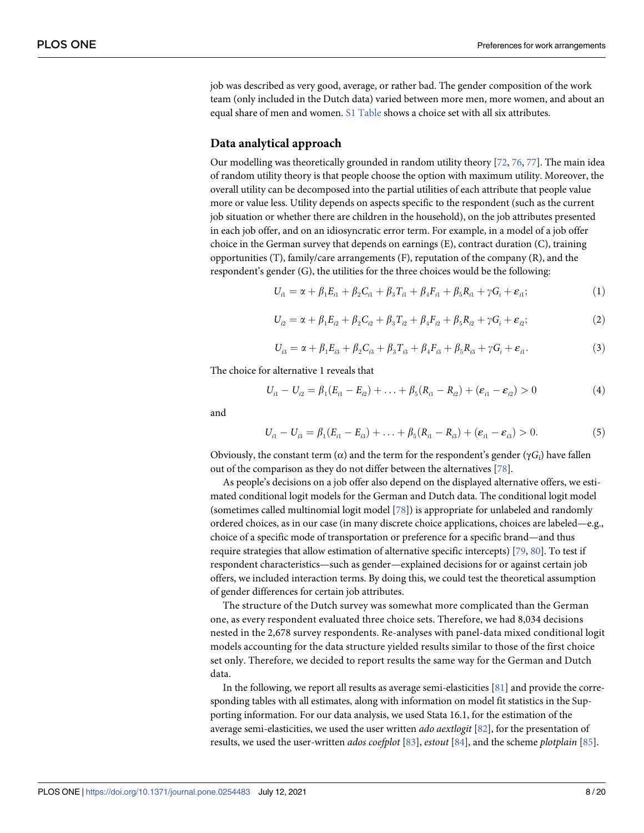<span id="page-7-0"></span>job was described as very good, average, or rather bad. The gender composition of the work team (only included in the Dutch data) varied between more men, more women, and about an equal share of men and women. [S1 Table](#page-15-0) shows a choice set with all six attributes.

#### **Data analytical approach**

Our modelling was theoretically grounded in random utility theory [[72](#page-19-0), [76](#page-19-0), [77](#page-19-0)]. The main idea of random utility theory is that people choose the option with maximum utility. Moreover, the overall utility can be decomposed into the partial utilities of each attribute that people value more or value less. Utility depends on aspects specific to the respondent (such as the current job situation or whether there are children in the household), on the job attributes presented in each job offer, and on an idiosyncratic error term. For example, in a model of a job offer choice in the German survey that depends on earnings (E), contract duration (C), training opportunities (T), family/care arrangements (F), reputation of the company (R), and the respondent's gender (G), the utilities for the three choices would be the following:

$$
U_{i1} = \alpha + \beta_1 E_{i1} + \beta_2 C_{i1} + \beta_3 T_{i1} + \beta_4 F_{i1} + \beta_5 R_{i1} + \gamma G_i + \varepsilon_{i1};
$$
\n(1)

$$
U_{i2} = \alpha + \beta_1 E_{i2} + \beta_2 C_{i2} + \beta_3 T_{i2} + \beta_4 F_{i2} + \beta_5 R_{i2} + \gamma G_i + \varepsilon_{i2};
$$
\n(2)

$$
U_{i3} = \alpha + \beta_1 E_{i3} + \beta_2 C_{i3} + \beta_3 T_{i3} + \beta_4 F_{i3} + \beta_5 R_{i3} + \gamma G_i + \varepsilon_{i1}.
$$
 (3)

The choice for alternative 1 reveals that

$$
U_{i1} - U_{i2} = \beta_1 (E_{i1} - E_{i2}) + \ldots + \beta_5 (R_{i1} - R_{i2}) + (\varepsilon_{i1} - \varepsilon_{i2}) > 0
$$
\n(4)

and

$$
U_{i1} - U_{i3} = \beta_1 (E_{i1} - E_{i3}) + \ldots + \beta_5 (R_{i1} - R_{i3}) + (\varepsilon_{i1} - \varepsilon_{i3}) > 0. \tag{5}
$$

Obviously, the constant term (α) and the term for the respondent's gender (γ*G*i) have fallen out of the comparison as they do not differ between the alternatives [[78](#page-19-0)].

As people's decisions on a job offer also depend on the displayed alternative offers, we estimated conditional logit models for the German and Dutch data. The conditional logit model (sometimes called multinomial logit model [\[78\]](#page-19-0)) is appropriate for unlabeled and randomly ordered choices, as in our case (in many discrete choice applications, choices are labeled—e.g., choice of a specific mode of transportation or preference for a specific brand—and thus require strategies that allow estimation of alternative specific intercepts) [[79,](#page-19-0) [80](#page-19-0)]. To test if respondent characteristics—such as gender—explained decisions for or against certain job offers, we included interaction terms. By doing this, we could test the theoretical assumption of gender differences for certain job attributes.

The structure of the Dutch survey was somewhat more complicated than the German one, as every respondent evaluated three choice sets. Therefore, we had 8,034 decisions nested in the 2,678 survey respondents. Re-analyses with panel-data mixed conditional logit models accounting for the data structure yielded results similar to those of the first choice set only. Therefore, we decided to report results the same way for the German and Dutch data.

In the following, we report all results as average semi-elasticities [[81](#page-19-0)] and provide the corresponding tables with all estimates, along with information on model fit statistics in the Supporting information. For our data analysis, we used Stata 16.1, for the estimation of the average semi-elasticities, we used the user written *ado aextlogit* [\[82\]](#page-19-0), for the presentation of results, we used the user-written *ados coefplot* [\[83\]](#page-19-0), *estout* [\[84\]](#page-19-0), and the scheme *plotplain* [\[85\]](#page-19-0).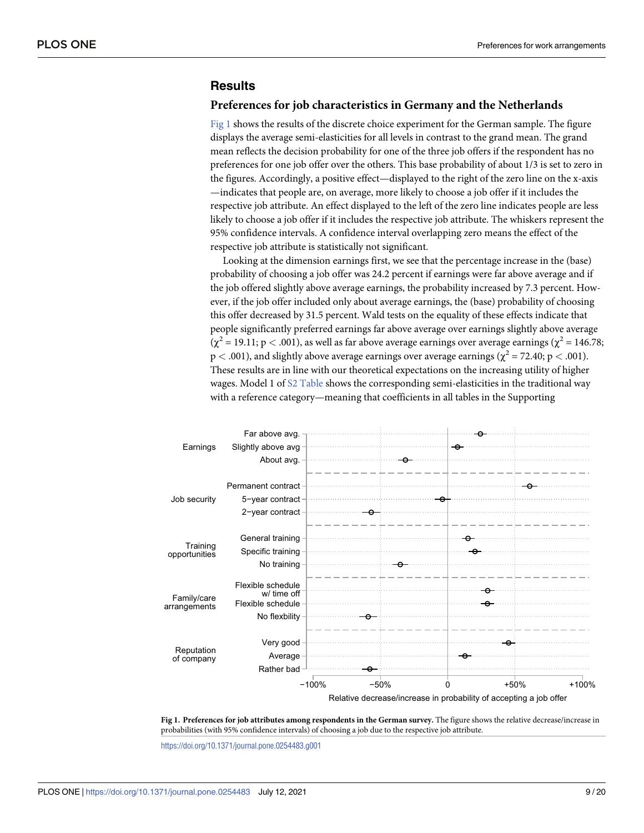# <span id="page-8-0"></span>**Results**

#### **Preferences for job characteristics in Germany and the Netherlands**

Fig 1 shows the results of the discrete choice experiment for the German sample. The figure displays the average semi-elasticities for all levels in contrast to the grand mean. The grand mean reflects the decision probability for one of the three job offers if the respondent has no preferences for one job offer over the others. This base probability of about 1/3 is set to zero in the figures. Accordingly, a positive effect—displayed to the right of the zero line on the x-axis —indicates that people are, on average, more likely to choose a job offer if it includes the respective job attribute. An effect displayed to the left of the zero line indicates people are less likely to choose a job offer if it includes the respective job attribute. The whiskers represent the 95% confidence intervals. A confidence interval overlapping zero means the effect of the respective job attribute is statistically not significant.

Looking at the dimension earnings first, we see that the percentage increase in the (base) probability of choosing a job offer was 24.2 percent if earnings were far above average and if the job offered slightly above average earnings, the probability increased by 7.3 percent. However, if the job offer included only about average earnings, the (base) probability of choosing this offer decreased by 31.5 percent. Wald tests on the equality of these effects indicate that people significantly preferred earnings far above average over earnings slightly above average  $(\chi^2 = 19.11; p < .001)$ , as well as far above average earnings over average earnings  $(\chi^2 = 146.78;$  $p < .001$ ), and slightly above average earnings over average earnings ( $\chi^2 = 72.40$ ;  $p < .001$ ). These results are in line with our theoretical expectations on the increasing utility of higher wages. Model 1 of [S2 Table](#page-15-0) shows the corresponding semi-elasticities in the traditional way with a reference category—meaning that coefficients in all tables in the Supporting



**Fig 1. Preferences for job attributes among respondents in the German survey.** The figure shows the relative decrease/increase in probabilities (with 95% confidence intervals) of choosing a job due to the respective job attribute.

<https://doi.org/10.1371/journal.pone.0254483.g001>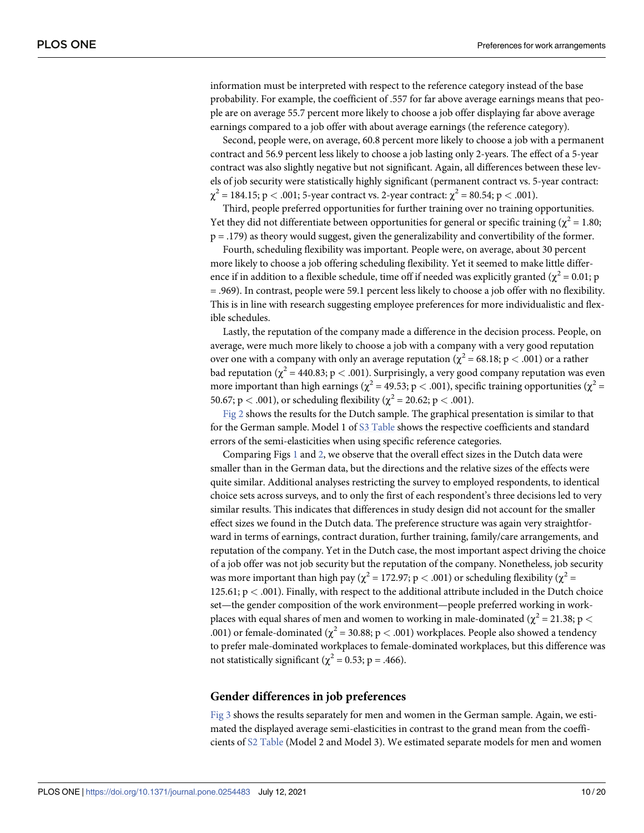<span id="page-9-0"></span>information must be interpreted with respect to the reference category instead of the base probability. For example, the coefficient of .557 for far above average earnings means that people are on average 55.7 percent more likely to choose a job offer displaying far above average earnings compared to a job offer with about average earnings (the reference category).

Second, people were, on average, 60.8 percent more likely to choose a job with a permanent contract and 56.9 percent less likely to choose a job lasting only 2-years. The effect of a 5-year contract was also slightly negative but not significant. Again, all differences between these levels of job security were statistically highly significant (permanent contract vs. 5-year contract:  $\chi^2 = 184.15$ ; p < .001; 5-year contract vs. 2-year contract:  $\chi^2 = 80.54$ ; p < .001).

Third, people preferred opportunities for further training over no training opportunities. Yet they did not differentiate between opportunities for general or specific training ( $\chi^2$  = 1.80; p = .179) as theory would suggest, given the generalizability and convertibility of the former.

Fourth, scheduling flexibility was important. People were, on average, about 30 percent more likely to choose a job offering scheduling flexibility. Yet it seemed to make little difference if in addition to a flexible schedule, time off if needed was explicitly granted ( $\chi^2$  = 0.01; p = .969). In contrast, people were 59.1 percent less likely to choose a job offer with no flexibility. This is in line with research suggesting employee preferences for more individualistic and flexible schedules.

Lastly, the reputation of the company made a difference in the decision process. People, on average, were much more likely to choose a job with a company with a very good reputation over one with a company with only an average reputation ( $\chi^2$  = 68.18; p < .001) or a rather bad reputation  $\chi^2$  = 440.83; p < .001). Surprisingly, a very good company reputation was even more important than high earnings ( $\chi^2$  = 49.53; p < .001), specific training opportunities ( $\chi^2$  = 50.67;  $p < .001$ ), or scheduling flexibility ( $\chi^2 = 20.62$ ;  $p < .001$ ).

[Fig 2](#page-10-0) shows the results for the Dutch sample. The graphical presentation is similar to that for the German sample. Model 1 of [S3 Table](#page-15-0) shows the respective coefficients and standard errors of the semi-elasticities when using specific reference categories.

Comparing Figs [1](#page-8-0) and [2,](#page-10-0) we observe that the overall effect sizes in the Dutch data were smaller than in the German data, but the directions and the relative sizes of the effects were quite similar. Additional analyses restricting the survey to employed respondents, to identical choice sets across surveys, and to only the first of each respondent's three decisions led to very similar results. This indicates that differences in study design did not account for the smaller effect sizes we found in the Dutch data. The preference structure was again very straightforward in terms of earnings, contract duration, further training, family/care arrangements, and reputation of the company. Yet in the Dutch case, the most important aspect driving the choice of a job offer was not job security but the reputation of the company. Nonetheless, job security was more important than high pay ( $\chi^2$  = 172.97; p < .001) or scheduling flexibility ( $\chi^2$  = 125.61; p *<* .001). Finally, with respect to the additional attribute included in the Dutch choice set—the gender composition of the work environment—people preferred working in workplaces with equal shares of men and women to working in male-dominated ( $\chi^2$  = 21.38; p < .001) or female-dominated ( $\chi^2$  = 30.88; p < .001) workplaces. People also showed a tendency to prefer male-dominated workplaces to female-dominated workplaces, but this difference was not statistically significant ( $\chi^2$  = 0.53; p = .466).

#### **Gender differences in job preferences**

[Fig 3](#page-11-0) shows the results separately for men and women in the German sample. Again, we estimated the displayed average semi-elasticities in contrast to the grand mean from the coefficients of [S2 Table](#page-15-0) (Model 2 and Model 3). We estimated separate models for men and women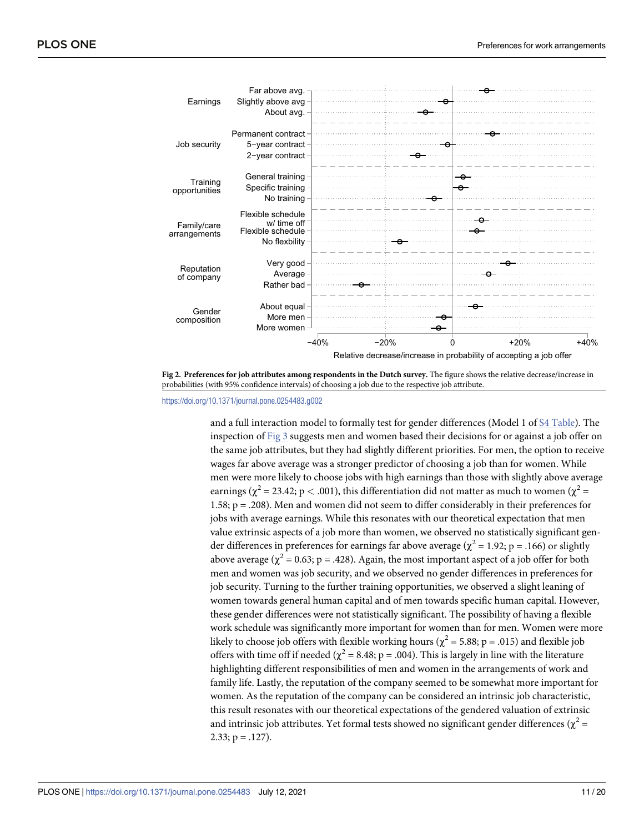<span id="page-10-0"></span>

**[Fig 2. P](#page-9-0)references for job attributes among respondents in the Dutch survey.** The figure shows the relative decrease/increase in probabilities (with 95% confidence intervals) of choosing a job due to the respective job attribute.

<https://doi.org/10.1371/journal.pone.0254483.g002>

and a full interaction model to formally test for gender differences (Model 1 of [S4 Table\)](#page-15-0). The inspection of [Fig 3](#page-11-0) suggests men and women based their decisions for or against a job offer on the same job attributes, but they had slightly different priorities. For men, the option to receive wages far above average was a stronger predictor of choosing a job than for women. While men were more likely to choose jobs with high earnings than those with slightly above average earnings ( $\chi^2$  = 23.42; p < .001), this differentiation did not matter as much to women ( $\chi^2$  = 1.58; p = .208). Men and women did not seem to differ considerably in their preferences for jobs with average earnings. While this resonates with our theoretical expectation that men value extrinsic aspects of a job more than women, we observed no statistically significant gender differences in preferences for earnings far above average ( $\chi^2$  = 1.92; p = .166) or slightly above average ( $\chi^2$  = 0.63; p = .428). Again, the most important aspect of a job offer for both men and women was job security, and we observed no gender differences in preferences for job security. Turning to the further training opportunities, we observed a slight leaning of women towards general human capital and of men towards specific human capital. However, these gender differences were not statistically significant. The possibility of having a flexible work schedule was significantly more important for women than for men. Women were more likely to choose job offers with flexible working hours ( $\chi^2$  = 5.88; p = .015) and flexible job offers with time off if needed ( $\chi^2$  = 8.48; p = .004). This is largely in line with the literature highlighting different responsibilities of men and women in the arrangements of work and family life. Lastly, the reputation of the company seemed to be somewhat more important for women. As the reputation of the company can be considered an intrinsic job characteristic, this result resonates with our theoretical expectations of the gendered valuation of extrinsic and intrinsic job attributes. Yet formal tests showed no significant gender differences ( $\chi^2$  =  $2.33; p = .127$ ).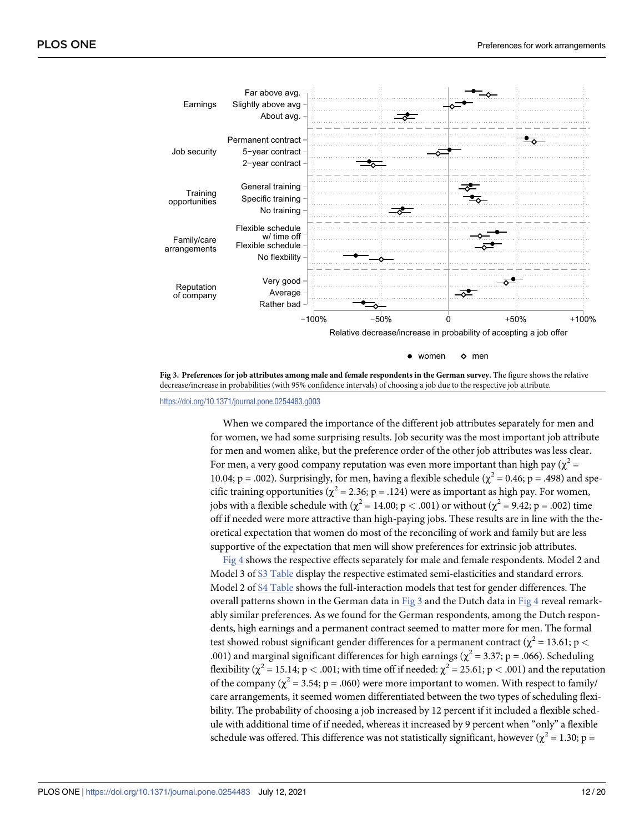<span id="page-11-0"></span>

**[Fig 3. P](#page-9-0)references for job attributes among male and female respondents in the German survey.** The figure shows the relative decrease/increase in probabilities (with 95% confidence intervals) of choosing a job due to the respective job attribute.

<https://doi.org/10.1371/journal.pone.0254483.g003>

When we compared the importance of the different job attributes separately for men and for women, we had some surprising results. Job security was the most important job attribute for men and women alike, but the preference order of the other job attributes was less clear. For men, a very good company reputation was even more important than high pay ( $\chi^2$  = 10.04; p = .002). Surprisingly, for men, having a flexible schedule ( $\chi^2$  = 0.46; p = .498) and specific training opportunities ( $\chi^2$  = 2.36; p = .124) were as important as high pay. For women, jobs with a flexible schedule with ( $\chi^2$  = 14.00; p < .001) or without ( $\chi^2$  = 9.42; p = .002) time off if needed were more attractive than high-paying jobs. These results are in line with the theoretical expectation that women do most of the reconciling of work and family but are less supportive of the expectation that men will show preferences for extrinsic job attributes.

[Fig 4](#page-12-0) shows the respective effects separately for male and female respondents. Model 2 and Model 3 of [S3 Table](#page-15-0) display the respective estimated semi-elasticities and standard errors. Model 2 of [S4 Table](#page-15-0) shows the full-interaction models that test for gender differences. The overall patterns shown in the German data in Fig 3 and the Dutch data in [Fig 4](#page-12-0) reveal remarkably similar preferences. As we found for the German respondents, among the Dutch respondents, high earnings and a permanent contract seemed to matter more for men. The formal test showed robust significant gender differences for a permanent contract ( $\chi^2$  = 13.61; p < .001) and marginal significant differences for high earnings ( $\chi^2$  = 3.37; p = .066). Scheduling flexibility ( $\chi^2$  = 15.14; p < .001; with time off if needed:  $\chi^2$  = 25.61; p < .001) and the reputation of the company ( $\chi^2$  = 3.54; p = .060) were more important to women. With respect to family/ care arrangements, it seemed women differentiated between the two types of scheduling flexibility. The probability of choosing a job increased by 12 percent if it included a flexible schedule with additional time of if needed, whereas it increased by 9 percent when "only" a flexible schedule was offered. This difference was not statistically significant, however ( $\chi^2$  = 1.30; p =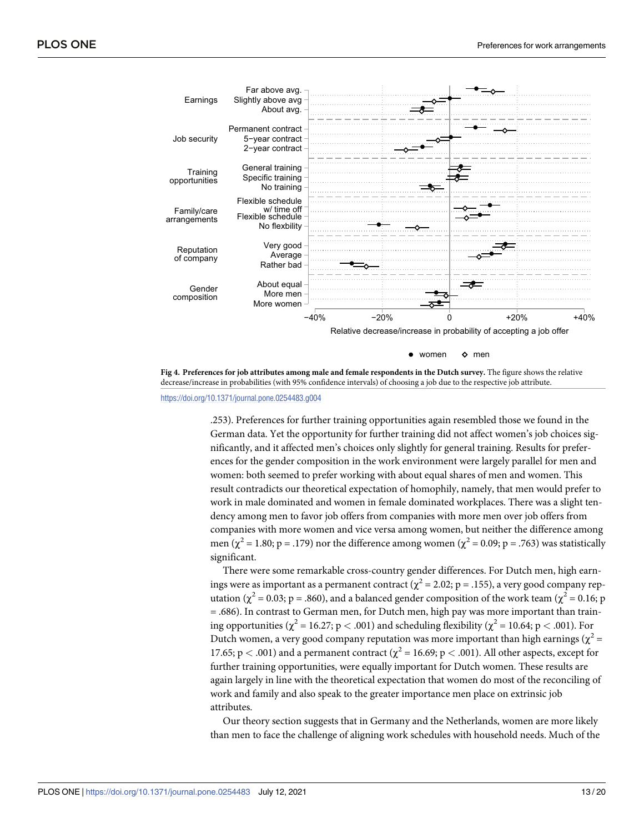<span id="page-12-0"></span>

decrease/increase in probabilities (with 95% confidence intervals) of choosing a job due to the respective job attribute.

<https://doi.org/10.1371/journal.pone.0254483.g004>

.253). Preferences for further training opportunities again resembled those we found in the German data. Yet the opportunity for further training did not affect women's job choices significantly, and it affected men's choices only slightly for general training. Results for preferences for the gender composition in the work environment were largely parallel for men and women: both seemed to prefer working with about equal shares of men and women. This result contradicts our theoretical expectation of homophily, namely, that men would prefer to work in male dominated and women in female dominated workplaces. There was a slight tendency among men to favor job offers from companies with more men over job offers from companies with more women and vice versa among women, but neither the difference among men ( $\chi^2$  = 1.80; p = .179) nor the difference among women ( $\chi^2$  = 0.09; p = .763) was statistically significant.

There were some remarkable cross-country gender differences. For Dutch men, high earnings were as important as a permanent contract ( $\chi^2$  = 2.02; p = .155), a very good company reputation ( $\chi^2$  = 0.03; p = .860), and a balanced gender composition of the work team ( $\chi^2$  = 0.16; p = .686). In contrast to German men, for Dutch men, high pay was more important than training opportunities ( $\chi^2$  = 16.27; p < .001) and scheduling flexibility ( $\chi^2$  = 10.64; p < .001). For Dutch women, a very good company reputation was more important than high earnings ( $\chi^2$  = 17.65;  $p < .001$ ) and a permanent contract ( $\chi^2 = 16.69$ ;  $p < .001$ ). All other aspects, except for further training opportunities, were equally important for Dutch women. These results are again largely in line with the theoretical expectation that women do most of the reconciling of work and family and also speak to the greater importance men place on extrinsic job attributes.

Our theory section suggests that in Germany and the Netherlands, women are more likely than men to face the challenge of aligning work schedules with household needs. Much of the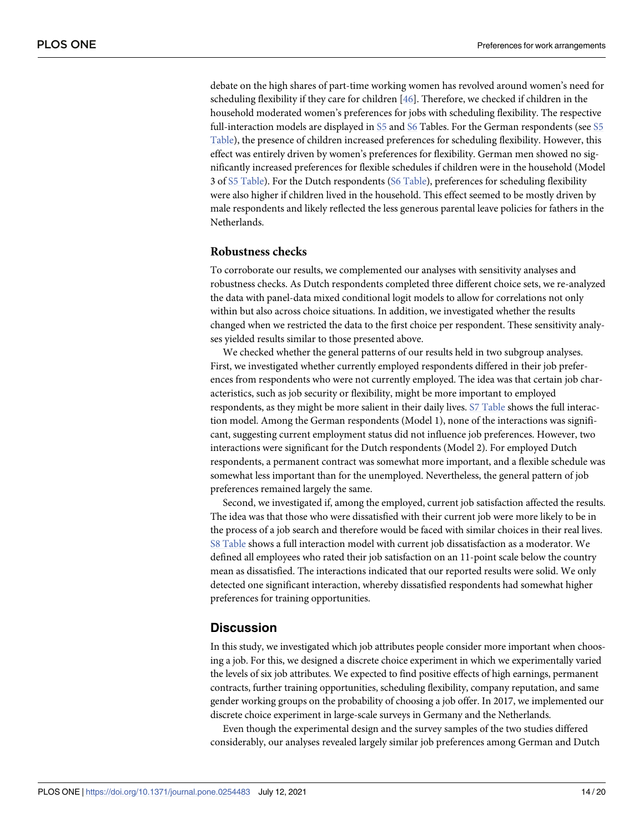debate on the high shares of part-time working women has revolved around women's need for scheduling flexibility if they care for children [\[46\]](#page-18-0). Therefore, we checked if children in the household moderated women's preferences for jobs with scheduling flexibility. The respective full-interaction models are displayed in [S5](#page-16-0) and [S6](#page-16-0) Tables. For the German respondents (see [S5](#page-16-0) [Table](#page-16-0)), the presence of children increased preferences for scheduling flexibility. However, this effect was entirely driven by women's preferences for flexibility. German men showed no significantly increased preferences for flexible schedules if children were in the household (Model 3 of [S5 Table\)](#page-16-0). For the Dutch respondents ([S6 Table\)](#page-16-0), preferences for scheduling flexibility were also higher if children lived in the household. This effect seemed to be mostly driven by male respondents and likely reflected the less generous parental leave policies for fathers in the Netherlands.

### **Robustness checks**

To corroborate our results, we complemented our analyses with sensitivity analyses and robustness checks. As Dutch respondents completed three different choice sets, we re-analyzed the data with panel-data mixed conditional logit models to allow for correlations not only within but also across choice situations. In addition, we investigated whether the results changed when we restricted the data to the first choice per respondent. These sensitivity analyses yielded results similar to those presented above.

We checked whether the general patterns of our results held in two subgroup analyses. First, we investigated whether currently employed respondents differed in their job preferences from respondents who were not currently employed. The idea was that certain job characteristics, such as job security or flexibility, might be more important to employed respondents, as they might be more salient in their daily lives. [S7 Table](#page-16-0) shows the full interaction model. Among the German respondents (Model 1), none of the interactions was significant, suggesting current employment status did not influence job preferences. However, two interactions were significant for the Dutch respondents (Model 2). For employed Dutch respondents, a permanent contract was somewhat more important, and a flexible schedule was somewhat less important than for the unemployed. Nevertheless, the general pattern of job preferences remained largely the same.

Second, we investigated if, among the employed, current job satisfaction affected the results. The idea was that those who were dissatisfied with their current job were more likely to be in the process of a job search and therefore would be faced with similar choices in their real lives. [S8 Table](#page-16-0) shows a full interaction model with current job dissatisfaction as a moderator. We defined all employees who rated their job satisfaction on an 11-point scale below the country mean as dissatisfied. The interactions indicated that our reported results were solid. We only detected one significant interaction, whereby dissatisfied respondents had somewhat higher preferences for training opportunities.

## **Discussion**

In this study, we investigated which job attributes people consider more important when choosing a job. For this, we designed a discrete choice experiment in which we experimentally varied the levels of six job attributes. We expected to find positive effects of high earnings, permanent contracts, further training opportunities, scheduling flexibility, company reputation, and same gender working groups on the probability of choosing a job offer. In 2017, we implemented our discrete choice experiment in large-scale surveys in Germany and the Netherlands.

Even though the experimental design and the survey samples of the two studies differed considerably, our analyses revealed largely similar job preferences among German and Dutch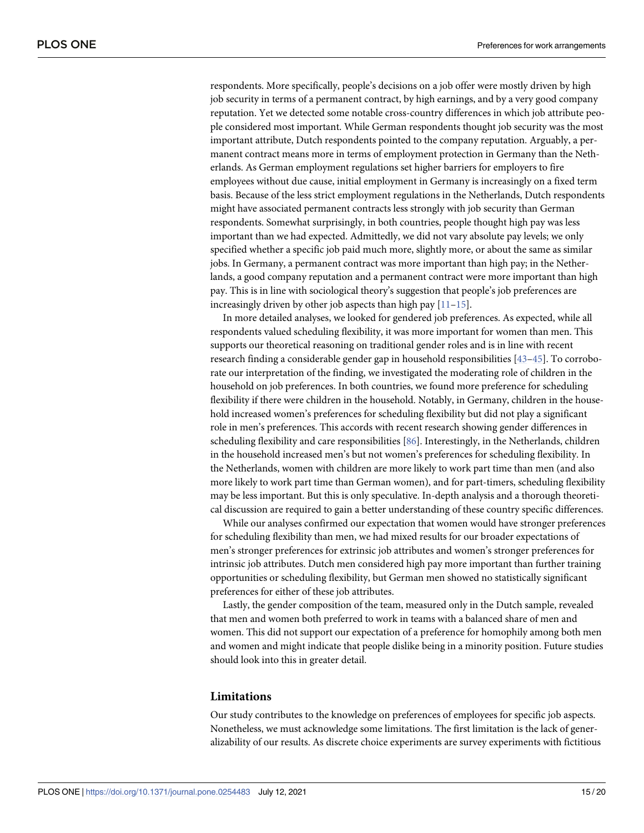<span id="page-14-0"></span>respondents. More specifically, people's decisions on a job offer were mostly driven by high job security in terms of a permanent contract, by high earnings, and by a very good company reputation. Yet we detected some notable cross-country differences in which job attribute people considered most important. While German respondents thought job security was the most important attribute, Dutch respondents pointed to the company reputation. Arguably, a permanent contract means more in terms of employment protection in Germany than the Netherlands. As German employment regulations set higher barriers for employers to fire employees without due cause, initial employment in Germany is increasingly on a fixed term basis. Because of the less strict employment regulations in the Netherlands, Dutch respondents might have associated permanent contracts less strongly with job security than German respondents. Somewhat surprisingly, in both countries, people thought high pay was less important than we had expected. Admittedly, we did not vary absolute pay levels; we only specified whether a specific job paid much more, slightly more, or about the same as similar jobs. In Germany, a permanent contract was more important than high pay; in the Netherlands, a good company reputation and a permanent contract were more important than high pay. This is in line with sociological theory's suggestion that people's job preferences are increasingly driven by other job aspects than high pay [\[11–15](#page-17-0)].

In more detailed analyses, we looked for gendered job preferences. As expected, while all respondents valued scheduling flexibility, it was more important for women than men. This supports our theoretical reasoning on traditional gender roles and is in line with recent research finding a considerable gender gap in household responsibilities [[43–45\]](#page-18-0). To corroborate our interpretation of the finding, we investigated the moderating role of children in the household on job preferences. In both countries, we found more preference for scheduling flexibility if there were children in the household. Notably, in Germany, children in the household increased women's preferences for scheduling flexibility but did not play a significant role in men's preferences. This accords with recent research showing gender differences in scheduling flexibility and care responsibilities [\[86\]](#page-19-0). Interestingly, in the Netherlands, children in the household increased men's but not women's preferences for scheduling flexibility. In the Netherlands, women with children are more likely to work part time than men (and also more likely to work part time than German women), and for part-timers, scheduling flexibility may be less important. But this is only speculative. In-depth analysis and a thorough theoretical discussion are required to gain a better understanding of these country specific differences.

While our analyses confirmed our expectation that women would have stronger preferences for scheduling flexibility than men, we had mixed results for our broader expectations of men's stronger preferences for extrinsic job attributes and women's stronger preferences for intrinsic job attributes. Dutch men considered high pay more important than further training opportunities or scheduling flexibility, but German men showed no statistically significant preferences for either of these job attributes.

Lastly, the gender composition of the team, measured only in the Dutch sample, revealed that men and women both preferred to work in teams with a balanced share of men and women. This did not support our expectation of a preference for homophily among both men and women and might indicate that people dislike being in a minority position. Future studies should look into this in greater detail.

#### **Limitations**

Our study contributes to the knowledge on preferences of employees for specific job aspects. Nonetheless, we must acknowledge some limitations. The first limitation is the lack of generalizability of our results. As discrete choice experiments are survey experiments with fictitious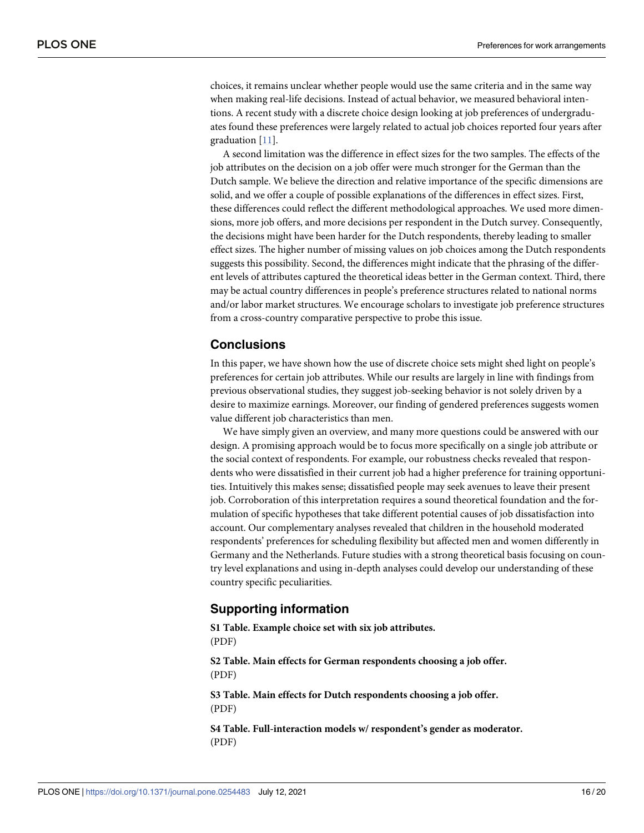<span id="page-15-0"></span>choices, it remains unclear whether people would use the same criteria and in the same way when making real-life decisions. Instead of actual behavior, we measured behavioral intentions. A recent study with a discrete choice design looking at job preferences of undergraduates found these preferences were largely related to actual job choices reported four years after graduation [\[11\]](#page-17-0).

A second limitation was the difference in effect sizes for the two samples. The effects of the job attributes on the decision on a job offer were much stronger for the German than the Dutch sample. We believe the direction and relative importance of the specific dimensions are solid, and we offer a couple of possible explanations of the differences in effect sizes. First, these differences could reflect the different methodological approaches. We used more dimensions, more job offers, and more decisions per respondent in the Dutch survey. Consequently, the decisions might have been harder for the Dutch respondents, thereby leading to smaller effect sizes. The higher number of missing values on job choices among the Dutch respondents suggests this possibility. Second, the differences might indicate that the phrasing of the different levels of attributes captured the theoretical ideas better in the German context. Third, there may be actual country differences in people's preference structures related to national norms and/or labor market structures. We encourage scholars to investigate job preference structures from a cross-country comparative perspective to probe this issue.

# **Conclusions**

In this paper, we have shown how the use of discrete choice sets might shed light on people's preferences for certain job attributes. While our results are largely in line with findings from previous observational studies, they suggest job-seeking behavior is not solely driven by a desire to maximize earnings. Moreover, our finding of gendered preferences suggests women value different job characteristics than men.

We have simply given an overview, and many more questions could be answered with our design. A promising approach would be to focus more specifically on a single job attribute or the social context of respondents. For example, our robustness checks revealed that respondents who were dissatisfied in their current job had a higher preference for training opportunities. Intuitively this makes sense; dissatisfied people may seek avenues to leave their present job. Corroboration of this interpretation requires a sound theoretical foundation and the formulation of specific hypotheses that take different potential causes of job dissatisfaction into account. Our complementary analyses revealed that children in the household moderated respondents' preferences for scheduling flexibility but affected men and women differently in Germany and the Netherlands. Future studies with a strong theoretical basis focusing on country level explanations and using in-depth analyses could develop our understanding of these country specific peculiarities.

#### **Supporting information**

**[S1 Table.](http://www.plosone.org/article/fetchSingleRepresentation.action?uri=info:doi/10.1371/journal.pone.0254483.s001) Example choice set with six job attributes.** (PDF)

**[S2 Table.](http://www.plosone.org/article/fetchSingleRepresentation.action?uri=info:doi/10.1371/journal.pone.0254483.s002) Main effects for German respondents choosing a job offer.** (PDF)

**[S3 Table.](http://www.plosone.org/article/fetchSingleRepresentation.action?uri=info:doi/10.1371/journal.pone.0254483.s003) Main effects for Dutch respondents choosing a job offer.** (PDF)

**[S4 Table.](http://www.plosone.org/article/fetchSingleRepresentation.action?uri=info:doi/10.1371/journal.pone.0254483.s004) Full-interaction models w/ respondent's gender as moderator.** (PDF)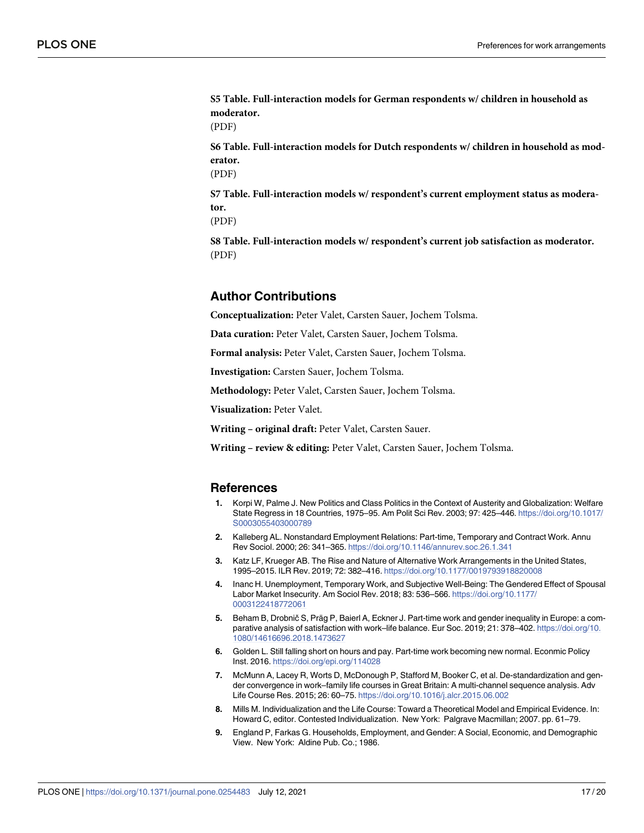<span id="page-16-0"></span>**[S5 Table.](http://www.plosone.org/article/fetchSingleRepresentation.action?uri=info:doi/10.1371/journal.pone.0254483.s005) Full-interaction models for German respondents w/ children in household as moderator.**

(PDF)

**[S6 Table.](http://www.plosone.org/article/fetchSingleRepresentation.action?uri=info:doi/10.1371/journal.pone.0254483.s006) Full-interaction models for Dutch respondents w/ children in household as moderator.**

(PDF)

**[S7 Table.](http://www.plosone.org/article/fetchSingleRepresentation.action?uri=info:doi/10.1371/journal.pone.0254483.s007) Full-interaction models w/ respondent's current employment status as moderator.**

(PDF)

**[S8 Table.](http://www.plosone.org/article/fetchSingleRepresentation.action?uri=info:doi/10.1371/journal.pone.0254483.s008) Full-interaction models w/ respondent's current job satisfaction as moderator.** (PDF)

# **Author Contributions**

**Conceptualization:** Peter Valet, Carsten Sauer, Jochem Tolsma.

**Data curation:** Peter Valet, Carsten Sauer, Jochem Tolsma.

**Formal analysis:** Peter Valet, Carsten Sauer, Jochem Tolsma.

**Investigation:** Carsten Sauer, Jochem Tolsma.

**Methodology:** Peter Valet, Carsten Sauer, Jochem Tolsma.

**Visualization:** Peter Valet.

**Writing – original draft:** Peter Valet, Carsten Sauer.

**Writing – review & editing:** Peter Valet, Carsten Sauer, Jochem Tolsma.

#### **References**

- **[1](#page-0-0).** Korpi W, Palme J. New Politics and Class Politics in the Context of Austerity and Globalization: Welfare State Regress in 18 Countries, 1975–95. Am Polit Sci Rev. 2003; 97: 425–446. [https://doi.org/10.1017/](https://doi.org/10.1017/S0003055403000789) [S0003055403000789](https://doi.org/10.1017/S0003055403000789)
- **[2](#page-0-0).** Kalleberg AL. Nonstandard Employment Relations: Part-time, Temporary and Contract Work. Annu Rev Sociol. 2000; 26: 341–365. <https://doi.org/10.1146/annurev.soc.26.1.341>
- **[3](#page-0-0).** Katz LF, Krueger AB. The Rise and Nature of Alternative Work Arrangements in the United States, 1995–2015. ILR Rev. 2019; 72: 382–416. <https://doi.org/10.1177/0019793918820008>
- **[4](#page-0-0).** Inanc H. Unemployment, Temporary Work, and Subjective Well-Being: The Gendered Effect of Spousal Labor Market Insecurity. Am Sociol Rev. 2018; 83: 536–566. [https://doi.org/10.1177/](https://doi.org/10.1177/0003122418772061) [0003122418772061](https://doi.org/10.1177/0003122418772061)
- **[5](#page-0-0).** Beham B, Drobnič S, Präg P, Baierl A, Eckner J. Part-time work and gender inequality in Europe: a comparative analysis of satisfaction with work–life balance. Eur Soc. 2019; 21: 378–402. [https://doi.org/10.](https://doi.org/10.1080/14616696.2018.1473627) [1080/14616696.2018.1473627](https://doi.org/10.1080/14616696.2018.1473627)
- **[6](#page-0-0).** Golden L. Still falling short on hours and pay. Part-time work becoming new normal. Econmic Policy Inst. 2016. <https://doi.org/epi.org/114028>
- **[7](#page-0-0).** McMunn A, Lacey R, Worts D, McDonough P, Stafford M, Booker C, et al. De-standardization and gender convergence in work–family life courses in Great Britain: A multi-channel sequence analysis. Adv Life Course Res. 2015; 26: 60–75. <https://doi.org/10.1016/j.alcr.2015.06.002>
- **[8](#page-0-0).** Mills M. Individualization and the Life Course: Toward a Theoretical Model and Empirical Evidence. In: Howard C, editor. Contested Individualization. New York: Palgrave Macmillan; 2007. pp. 61–79.
- **[9](#page-0-0).** England P, Farkas G. Households, Employment, and Gender: A Social, Economic, and Demographic View. New York: Aldine Pub. Co.; 1986.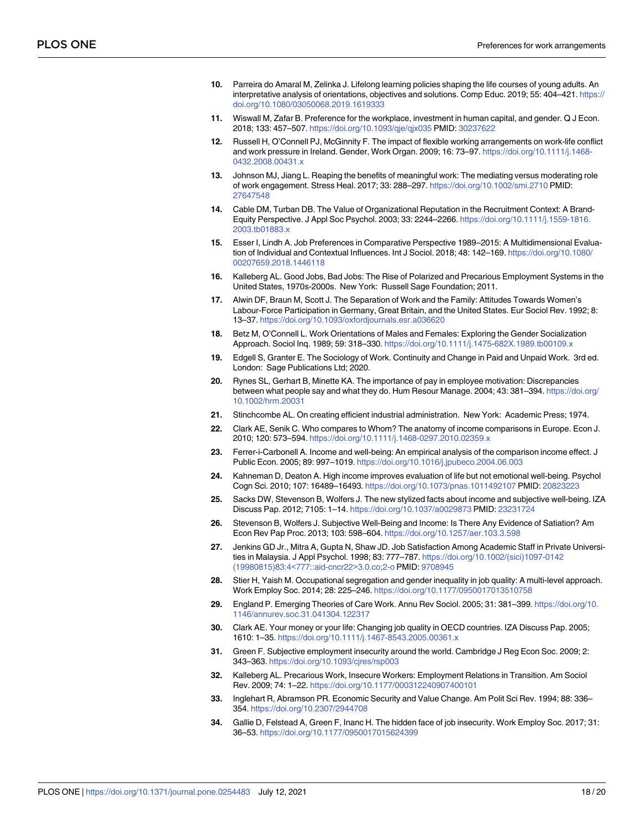- <span id="page-17-0"></span>**[10](#page-0-0).** Parreira do Amaral M, Zelinka J. Lifelong learning policies shaping the life courses of young adults. An interpretative analysis of orientations, objectives and solutions. Comp Educ. 2019; 55: 404–421. [https://](https://doi.org/10.1080/03050068.2019.1619333) [doi.org/10.1080/03050068.2019.1619333](https://doi.org/10.1080/03050068.2019.1619333)
- **[11](#page-1-0).** Wiswall M, Zafar B. Preference for the workplace, investment in human capital, and gender. Q J Econ. 2018; 133: 457–507. <https://doi.org/10.1093/qje/qjx035> PMID: [30237622](http://www.ncbi.nlm.nih.gov/pubmed/30237622)
- **[12](#page-1-0).** Russell H, O'Connell PJ, McGinnity F. The impact of flexible working arrangements on work-life conflict and work pressure in Ireland. Gender, Work Organ. 2009; 16: 73–97. [https://doi.org/10.1111/j.1468-](https://doi.org/10.1111/j.1468-0432.2008.00431.x) [0432.2008.00431.x](https://doi.org/10.1111/j.1468-0432.2008.00431.x)
- **[13](#page-1-0).** Johnson MJ, Jiang L. Reaping the benefits of meaningful work: The mediating versus moderating role of work engagement. Stress Heal. 2017; 33: 288–297. <https://doi.org/10.1002/smi.2710> PMID: [27647548](http://www.ncbi.nlm.nih.gov/pubmed/27647548)
- **[14](#page-1-0).** Cable DM, Turban DB. The Value of Organizational Reputation in the Recruitment Context: A Brand-Equity Perspective. J Appl Soc Psychol. 2003; 33: 2244–2266. [https://doi.org/10.1111/j.1559-1816.](https://doi.org/10.1111/j.1559-1816.2003.tb01883.x) [2003.tb01883.x](https://doi.org/10.1111/j.1559-1816.2003.tb01883.x)
- **[15](#page-1-0).** Esser I, Lindh A. Job Preferences in Comparative Perspective 1989–2015: A Multidimensional Evaluation of Individual and Contextual Influences. Int J Sociol. 2018; 48: 142–169. [https://doi.org/10.1080/](https://doi.org/10.1080/00207659.2018.1446118) [00207659.2018.1446118](https://doi.org/10.1080/00207659.2018.1446118)
- **[16](#page-1-0).** Kalleberg AL. Good Jobs, Bad Jobs: The Rise of Polarized and Precarious Employment Systems in the United States, 1970s-2000s. New York: Russell Sage Foundation; 2011.
- **[17](#page-1-0).** Alwin DF, Braun M, Scott J. The Separation of Work and the Family: Attitudes Towards Women's Labour-Force Participation in Germany, Great Britain, and the United States. Eur Sociol Rev. 1992; 8: 13–37. <https://doi.org/10.1093/oxfordjournals.esr.a036620>
- **[18](#page-1-0).** Betz M, O'Connell L. Work Orientations of Males and Females: Exploring the Gender Socialization Approach. Sociol Inq. 1989; 59: 318–330. <https://doi.org/10.1111/j.1475-682X.1989.tb00109.x>
- **[19](#page-1-0).** Edgell S, Granter E. The Sociology of Work. Continuity and Change in Paid and Unpaid Work. 3rd ed. London: Sage Publications Ltd; 2020.
- **[20](#page-2-0).** Rynes SL, Gerhart B, Minette KA. The importance of pay in employee motivation: Discrepancies between what people say and what they do. Hum Resour Manage. 2004; 43: 381–394. [https://doi.org/](https://doi.org/10.1002/hrm.20031) [10.1002/hrm.20031](https://doi.org/10.1002/hrm.20031)
- **[21](#page-2-0).** Stinchcombe AL. On creating efficient industrial administration. New York: Academic Press; 1974.
- **[22](#page-2-0).** Clark AE, Senik C. Who compares to Whom? The anatomy of income comparisons in Europe. Econ J. 2010; 120: 573–594. <https://doi.org/10.1111/j.1468-0297.2010.02359.x>
- **[23](#page-2-0).** Ferrer-i-Carbonell A. Income and well-being: An empirical analysis of the comparison income effect. J Public Econ. 2005; 89: 997–1019. <https://doi.org/10.1016/j.jpubeco.2004.06.003>
- **[24](#page-2-0).** Kahneman D, Deaton A. High income improves evaluation of life but not emotional well-being. Psychol Cogn Sci. 2010; 107: 16489–16493. <https://doi.org/10.1073/pnas.1011492107> PMID: [20823223](http://www.ncbi.nlm.nih.gov/pubmed/20823223)
- **25.** Sacks DW, Stevenson B, Wolfers J. The new stylized facts about income and subjective well-being. IZA Discuss Pap. 2012; 7105: 1–14. <https://doi.org/10.1037/a0029873> PMID: [23231724](http://www.ncbi.nlm.nih.gov/pubmed/23231724)
- **[26](#page-2-0).** Stevenson B, Wolfers J. Subjective Well-Being and Income: Is There Any Evidence of Satiation? Am Econ Rev Pap Proc. 2013; 103: 598–604. <https://doi.org/10.1257/aer.103.3.598>
- **[27](#page-2-0).** Jenkins GD Jr., Mitra A, Gupta N, Shaw JD. Job Satisfaction Among Academic Staff in Private Universities in Malaysia. J Appl Psychol. 1998; 83: 777–787. [https://doi.org/10.1002/\(sici\)1097-0142](https://doi.org/10.1002/%28sici%291097-0142%2819980815%2983%3A4%26lt%3B777%3A%3Aaid-cncr22%26gt%3B3.0.co%3B2-o) [\(19980815\)83:4](https://doi.org/10.1002/%28sici%291097-0142%2819980815%2983%3A4%26lt%3B777%3A%3Aaid-cncr22%26gt%3B3.0.co%3B2-o)<777::aid-cncr22>3.0.co;2-o PMID: [9708945](http://www.ncbi.nlm.nih.gov/pubmed/9708945)
- **[28](#page-2-0).** Stier H, Yaish M. Occupational segregation and gender inequality in job quality: A multi-level approach. Work Employ Soc. 2014; 28: 225–246. <https://doi.org/10.1177/0950017013510758>
- **[29](#page-2-0).** England P. Emerging Theories of Care Work. Annu Rev Sociol. 2005; 31: 381–399. [https://doi.org/10.](https://doi.org/10.1146/annurev.soc.31.041304.122317) [1146/annurev.soc.31.041304.122317](https://doi.org/10.1146/annurev.soc.31.041304.122317)
- **[30](#page-2-0).** Clark AE. Your money or your life: Changing job quality in OECD countries. IZA Discuss Pap. 2005; 1610: 1–35. <https://doi.org/10.1111/j.1467-8543.2005.00361.x>
- **31.** Green F. Subjective employment insecurity around the world. Cambridge J Reg Econ Soc. 2009; 2: 343–363. <https://doi.org/10.1093/cjres/rsp003>
- **32.** Kalleberg AL. Precarious Work, Insecure Workers: Employment Relations in Transition. Am Sociol Rev. 2009; 74: 1–22. <https://doi.org/10.1177/000312240907400101>
- **[33](#page-2-0).** Inglehart R, Abramson PR. Economic Security and Value Change. Am Polit Sci Rev. 1994; 88: 336– 354. <https://doi.org/10.2307/2944708>
- **[34](#page-2-0).** Gallie D, Felstead A, Green F, Inanc H. The hidden face of job insecurity. Work Employ Soc. 2017; 31: 36–53. <https://doi.org/10.1177/0950017015624399>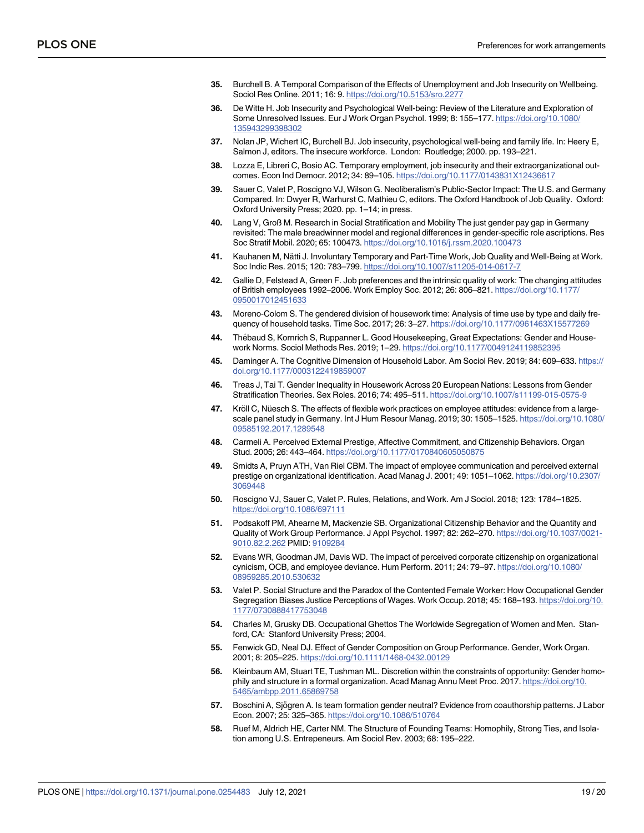- <span id="page-18-0"></span>**[35](#page-2-0).** Burchell B. A Temporal Comparison of the Effects of Unemployment and Job Insecurity on Wellbeing. Sociol Res Online. 2011; 16: 9. <https://doi.org/10.5153/sro.2277>
- **[36](#page-2-0).** De Witte H. Job Insecurity and Psychological Well-being: Review of the Literature and Exploration of Some Unresolved Issues. Eur J Work Organ Psychol. 1999; 8: 155–177. [https://doi.org/10.1080/](https://doi.org/10.1080/135943299398302) [135943299398302](https://doi.org/10.1080/135943299398302)
- **[37](#page-2-0).** Nolan JP, Wichert IC, Burchell BJ. Job insecurity, psychological well-being and family life. In: Heery E, Salmon J, editors. The insecure workforce. London: Routledge; 2000. pp. 193–221.
- **[38](#page-2-0).** Lozza E, Libreri C, Bosio AC. Temporary employment, job insecurity and their extraorganizational outcomes. Econ Ind Democr. 2012; 34: 89–105. <https://doi.org/10.1177/0143831X12436617>
- **[39](#page-2-0).** Sauer C, Valet P, Roscigno VJ, Wilson G. Neoliberalism's Public-Sector Impact: The U.S. and Germany Compared. In: Dwyer R, Warhurst C, Mathieu C, editors. The Oxford Handbook of Job Quality. Oxford: Oxford University Press; 2020. pp. 1–14; in press.
- **[40](#page-2-0).** Lang V, Groß M. Research in Social Stratification and Mobility The just gender pay gap in Germany revisited: The male breadwinner model and regional differences in gender-specific role ascriptions. Res Soc Stratif Mobil. 2020; 65: 100473. <https://doi.org/10.1016/j.rssm.2020.100473>
- **[41](#page-2-0).** Kauhanen M, Nätti J. Involuntary Temporary and Part-Time Work, Job Quality and Well-Being at Work. Soc Indic Res. 2015; 120: 783–799. <https://doi.org/10.1007/s11205-014-0617-7>
- **[42](#page-2-0).** Gallie D, Felstead A, Green F. Job preferences and the intrinsic quality of work: The changing attitudes of British employees 1992–2006. Work Employ Soc. 2012; 26: 806–821. [https://doi.org/10.1177/](https://doi.org/10.1177/0950017012451633) [0950017012451633](https://doi.org/10.1177/0950017012451633)
- **[43](#page-3-0).** Moreno-Colom S. The gendered division of housework time: Analysis of time use by type and daily frequency of household tasks. Time Soc. 2017; 26: 3–27. <https://doi.org/10.1177/0961463X15577269>
- **44.** Thébaud S, Kornrich S, Ruppanner L. Good Housekeeping, Great Expectations: Gender and Housework Norms. Sociol Methods Res. 2019; 1–29. <https://doi.org/10.1177/0049124119852395>
- **[45](#page-3-0).** Daminger A. The Cognitive Dimension of Household Labor. Am Sociol Rev. 2019; 84: 609–633. [https://](https://doi.org/10.1177/0003122419859007) [doi.org/10.1177/0003122419859007](https://doi.org/10.1177/0003122419859007)
- **[46](#page-3-0).** Treas J, Tai T. Gender Inequality in Housework Across 20 European Nations: Lessons from Gender Stratification Theories. Sex Roles. 2016; 74: 495–511. <https://doi.org/10.1007/s11199-015-0575-9>
- **[47](#page-3-0).** Kröll C, Nüesch S. The effects of flexible work practices on employee attitudes: evidence from a largescale panel study in Germany. Int J Hum Resour Manag. 2019; 30: 1505–1525. [https://doi.org/10.1080/](https://doi.org/10.1080/09585192.2017.1289548) [09585192.2017.1289548](https://doi.org/10.1080/09585192.2017.1289548)
- **[48](#page-3-0).** Carmeli A. Perceived External Prestige, Affective Commitment, and Citizenship Behaviors. Organ Stud. 2005; 26: 443–464. <https://doi.org/10.1177/0170840605050875>
- **[49](#page-3-0).** Smidts A, Pruyn ATH, Van Riel CBM. The impact of employee communication and perceived external prestige on organizational identification. Acad Manag J. 2001; 49: 1051–1062. [https://doi.org/10.2307/](https://doi.org/10.2307/3069448) [3069448](https://doi.org/10.2307/3069448)
- **[50](#page-3-0).** Roscigno VJ, Sauer C, Valet P. Rules, Relations, and Work. Am J Sociol. 2018; 123: 1784–1825. <https://doi.org/10.1086/697111>
- **[51](#page-3-0).** Podsakoff PM, Ahearne M, Mackenzie SB. Organizational Citizenship Behavior and the Quantity and Quality of Work Group Performance. J Appl Psychol. 1997; 82: 262–270. [https://doi.org/10.1037/0021-](https://doi.org/10.1037/0021-9010.82.2.262) [9010.82.2.262](https://doi.org/10.1037/0021-9010.82.2.262) PMID: [9109284](http://www.ncbi.nlm.nih.gov/pubmed/9109284)
- **[52](#page-3-0).** Evans WR, Goodman JM, Davis WD. The impact of perceived corporate citizenship on organizational cynicism, OCB, and employee deviance. Hum Perform. 2011; 24: 79–97. [https://doi.org/10.1080/](https://doi.org/10.1080/08959285.2010.530632) [08959285.2010.530632](https://doi.org/10.1080/08959285.2010.530632)
- **[53](#page-3-0).** Valet P. Social Structure and the Paradox of the Contented Female Worker: How Occupational Gender Segregation Biases Justice Perceptions of Wages. Work Occup. 2018; 45: 168–193. [https://doi.org/10.](https://doi.org/10.1177/0730888417753048) [1177/0730888417753048](https://doi.org/10.1177/0730888417753048)
- **[54](#page-3-0).** Charles M, Grusky DB. Occupational Ghettos The Worldwide Segregation of Women and Men. Stanford, CA: Stanford University Press; 2004.
- **[55](#page-3-0).** Fenwick GD, Neal DJ. Effect of Gender Composition on Group Performance. Gender, Work Organ. 2001; 8: 205–225. <https://doi.org/10.1111/1468-0432.00129>
- **[56](#page-3-0).** Kleinbaum AM, Stuart TE, Tushman ML. Discretion within the constraints of opportunity: Gender homophily and structure in a formal organization. Acad Manag Annu Meet Proc. 2017. [https://doi.org/10.](https://doi.org/10.5465/ambpp.2011.65869758) [5465/ambpp.2011.65869758](https://doi.org/10.5465/ambpp.2011.65869758)
- **[57](#page-3-0).** Boschini A, Sjögren A. Is team formation gender neutral? Evidence from coauthorship patterns. J Labor Econ. 2007; 25: 325–365. <https://doi.org/10.1086/510764>
- **[58](#page-3-0).** Ruef M, Aldrich HE, Carter NM. The Structure of Founding Teams: Homophily, Strong Ties, and Isolation among U.S. Entrepeneurs. Am Sociol Rev. 2003; 68: 195–222.